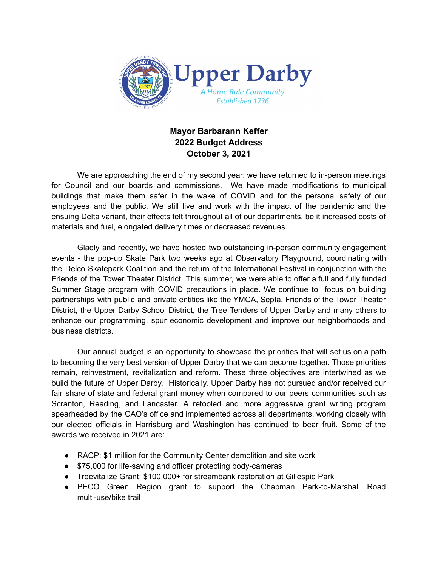

## **Mayor Barbarann Keffer 2022 Budget Address October 3, 2021**

We are approaching the end of my second year: we have returned to in-person meetings for Council and our boards and commissions. We have made modifications to municipal buildings that make them safer in the wake of COVID and for the personal safety of our employees and the public. We still live and work with the impact of the pandemic and the ensuing Delta variant, their effects felt throughout all of our departments, be it increased costs of materials and fuel, elongated delivery times or decreased revenues.

Gladly and recently, we have hosted two outstanding in-person community engagement events - the pop-up Skate Park two weeks ago at Observatory Playground, coordinating with the Delco Skatepark Coalition and the return of the International Festival in conjunction with the Friends of the Tower Theater District. This summer, we were able to offer a full and fully funded Summer Stage program with COVID precautions in place. We continue to focus on building partnerships with public and private entities like the YMCA, Septa, Friends of the Tower Theater District, the Upper Darby School District, the Tree Tenders of Upper Darby and many others to enhance our programming, spur economic development and improve our neighborhoods and business districts.

Our annual budget is an opportunity to showcase the priorities that will set us on a path to becoming the very best version of Upper Darby that we can become together. Those priorities remain, reinvestment, revitalization and reform. These three objectives are intertwined as we build the future of Upper Darby. Historically, Upper Darby has not pursued and/or received our fair share of state and federal grant money when compared to our peers communities such as Scranton, Reading, and Lancaster. A retooled and more aggressive grant writing program spearheaded by the CAO's office and implemented across all departments, working closely with our elected officials in Harrisburg and Washington has continued to bear fruit. Some of the awards we received in 2021 are:

- RACP: \$1 million for the Community Center demolition and site work
- \$75,000 for life-saving and officer protecting body-cameras
- Treevitalize Grant: \$100,000+ for streambank restoration at Gillespie Park
- PECO Green Region grant to support the Chapman Park-to-Marshall Road multi-use/bike trail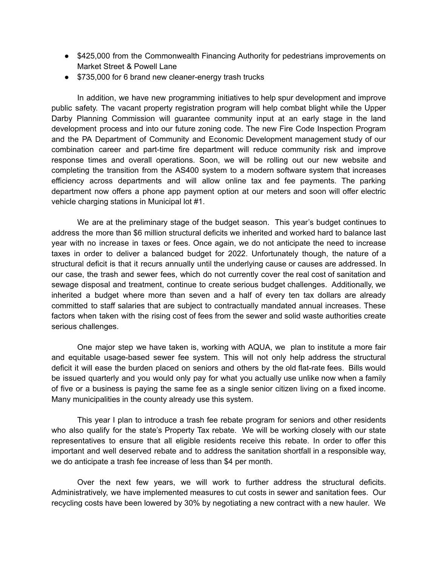- \$425,000 from the Commonwealth Financing Authority for pedestrians improvements on Market Street & Powell Lane
- \$735,000 for 6 brand new cleaner-energy trash trucks

In addition, we have new programming initiatives to help spur development and improve public safety. The vacant property registration program will help combat blight while the Upper Darby Planning Commission will guarantee community input at an early stage in the land development process and into our future zoning code. The new Fire Code Inspection Program and the PA Department of Community and Economic Development management study of our combination career and part-time fire department will reduce community risk and improve response times and overall operations. Soon, we will be rolling out our new website and completing the transition from the AS400 system to a modern software system that increases efficiency across departments and will allow online tax and fee payments. The parking department now offers a phone app payment option at our meters and soon will offer electric vehicle charging stations in Municipal lot #1.

We are at the preliminary stage of the budget season. This year's budget continues to address the more than \$6 million structural deficits we inherited and worked hard to balance last year with no increase in taxes or fees. Once again, we do not anticipate the need to increase taxes in order to deliver a balanced budget for 2022. Unfortunately though, the nature of a structural deficit is that it recurs annually until the underlying cause or causes are addressed. In our case, the trash and sewer fees, which do not currently cover the real cost of sanitation and sewage disposal and treatment, continue to create serious budget challenges. Additionally, we inherited a budget where more than seven and a half of every ten tax dollars are already committed to staff salaries that are subject to contractually mandated annual increases. These factors when taken with the rising cost of fees from the sewer and solid waste authorities create serious challenges.

One major step we have taken is, working with AQUA, we plan to institute a more fair and equitable usage-based sewer fee system. This will not only help address the structural deficit it will ease the burden placed on seniors and others by the old flat-rate fees. Bills would be issued quarterly and you would only pay for what you actually use unlike now when a family of five or a business is paying the same fee as a single senior citizen living on a fixed income. Many municipalities in the county already use this system.

This year I plan to introduce a trash fee rebate program for seniors and other residents who also qualify for the state's Property Tax rebate. We will be working closely with our state representatives to ensure that all eligible residents receive this rebate. In order to offer this important and well deserved rebate and to address the sanitation shortfall in a responsible way, we do anticipate a trash fee increase of less than \$4 per month.

Over the next few years, we will work to further address the structural deficits. Administratively, we have implemented measures to cut costs in sewer and sanitation fees. Our recycling costs have been lowered by 30% by negotiating a new contract with a new hauler. We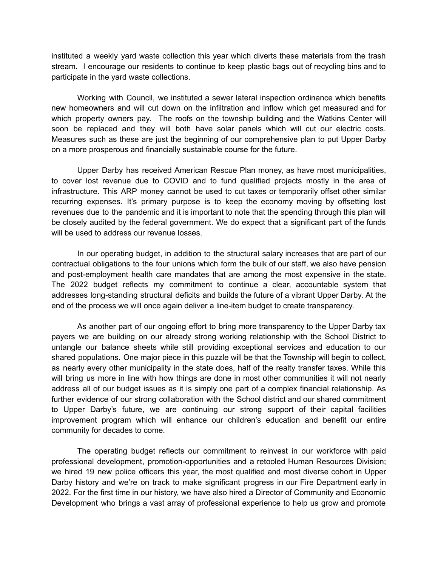instituted a weekly yard waste collection this year which diverts these materials from the trash stream. I encourage our residents to continue to keep plastic bags out of recycling bins and to participate in the yard waste collections.

Working with Council, we instituted a sewer lateral inspection ordinance which benefits new homeowners and will cut down on the infiltration and inflow which get measured and for which property owners pay. The roofs on the township building and the Watkins Center will soon be replaced and they will both have solar panels which will cut our electric costs. Measures such as these are just the beginning of our comprehensive plan to put Upper Darby on a more prosperous and financially sustainable course for the future.

Upper Darby has received American Rescue Plan money, as have most municipalities, to cover lost revenue due to COVID and to fund qualified projects mostly in the area of infrastructure. This ARP money cannot be used to cut taxes or temporarily offset other similar recurring expenses. It's primary purpose is to keep the economy moving by offsetting lost revenues due to the pandemic and it is important to note that the spending through this plan will be closely audited by the federal government. We do expect that a significant part of the funds will be used to address our revenue losses.

In our operating budget, in addition to the structural salary increases that are part of our contractual obligations to the four unions which form the bulk of our staff, we also have pension and post-employment health care mandates that are among the most expensive in the state. The 2022 budget reflects my commitment to continue a clear, accountable system that addresses long-standing structural deficits and builds the future of a vibrant Upper Darby. At the end of the process we will once again deliver a line-item budget to create transparency.

As another part of our ongoing effort to bring more transparency to the Upper Darby tax payers we are building on our already strong working relationship with the School District to untangle our balance sheets while still providing exceptional services and education to our shared populations. One major piece in this puzzle will be that the Township will begin to collect, as nearly every other municipality in the state does, half of the realty transfer taxes. While this will bring us more in line with how things are done in most other communities it will not nearly address all of our budget issues as it is simply one part of a complex financial relationship. As further evidence of our strong collaboration with the School district and our shared commitment to Upper Darby's future, we are continuing our strong support of their capital facilities improvement program which will enhance our children's education and benefit our entire community for decades to come.

The operating budget reflects our commitment to reinvest in our workforce with paid professional development, promotion-opportunities and a retooled Human Resources Division; we hired 19 new police officers this year, the most qualified and most diverse cohort in Upper Darby history and we're on track to make significant progress in our Fire Department early in 2022. For the first time in our history, we have also hired a Director of Community and Economic Development who brings a vast array of professional experience to help us grow and promote